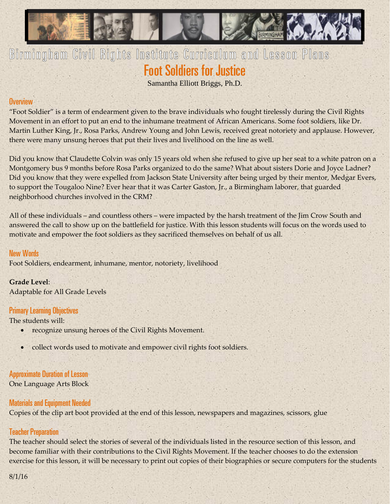

# Birmingham Civil Rights Institute Curriculum and Lesson Plans Foot Soldiers for Justice

Samantha Elliott Briggs, Ph.D.

#### **Overview**

"Foot Soldier" is a term of endearment given to the brave individuals who fought tirelessly during the Civil Rights Movement in an effort to put an end to the inhumane treatment of African Americans. Some foot soldiers, like Dr. Martin Luther King, Jr., Rosa Parks, Andrew Young and John Lewis, received great notoriety and applause. However, there were many unsung heroes that put their lives and livelihood on the line as well.

Did you know that Claudette Colvin was only 15 years old when she refused to give up her seat to a white patron on a Montgomery bus 9 months before Rosa Parks organized to do the same? What about sisters Dorie and Joyce Ladner? Did you know that they were expelled from Jackson State University after being urged by their mentor, Medgar Evers, to support the Tougaloo Nine? Ever hear that it was Carter Gaston, Jr., a Birmingham laborer, that guarded neighborhood churches involved in the CRM?

All of these individuals – and countless others – were impacted by the harsh treatment of the Jim Crow South and answered the call to show up on the battlefield for justice. With this lesson students will focus on the words used to motivate and empower the foot soldiers as they sacrificed themselves on behalf of us all.

# New Words

Foot Soldiers, endearment, inhumane, mentor, notoriety, livelihood

# **Grade Level**:

Adaptable for All Grade Levels

#### Primary Learning Objectives

The students will:

- recognize unsung heroes of the Civil Rights Movement.
- collect words used to motivate and empower civil rights foot soldiers.

#### Approximate Duration of Lesson

One Language Arts Block

#### Materials and Equipment Needed

Copies of the clip art boot provided at the end of this lesson, newspapers and magazines, scissors, glue

#### Teacher Preparation

The teacher should select the stories of several of the individuals listed in the resource section of this lesson, and become familiar with their contributions to the Civil Rights Movement. If the teacher chooses to do the extension exercise for this lesson, it will be necessary to print out copies of their biographies or secure computers for the students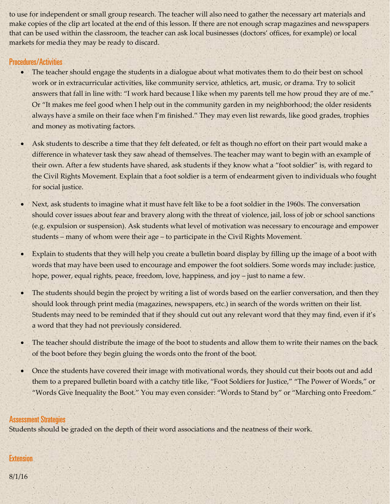to use for independent or small group research. The teacher will also need to gather the necessary art materials and make copies of the clip art located at the end of this lesson. If there are not enough scrap magazines and newspapers that can be used within the classroom, the teacher can ask local businesses (doctors' offices, for example) or local markets for media they may be ready to discard.

# Procedures/Activities

- The teacher should engage the students in a dialogue about what motivates them to do their best on school work or in extracurricular activities, like community service, athletics, art, music, or drama. Try to solicit answers that fall in line with: "I work hard because I like when my parents tell me how proud they are of me." Or "It makes me feel good when I help out in the community garden in my neighborhood; the older residents always have a smile on their face when I'm finished." They may even list rewards, like good grades, trophies and money as motivating factors.
- Ask students to describe a time that they felt defeated, or felt as though no effort on their part would make a difference in whatever task they saw ahead of themselves. The teacher may want to begin with an example of their own. After a few students have shared, ask students if they know what a "foot soldier" is, with regard to the Civil Rights Movement. Explain that a foot soldier is a term of endearment given to individuals who fought for social justice.
- Next, ask students to imagine what it must have felt like to be a foot soldier in the 1960s. The conversation should cover issues about fear and bravery along with the threat of violence, jail, loss of job or school sanctions (e.g. expulsion or suspension). Ask students what level of motivation was necessary to encourage and empower students – many of whom were their age – to participate in the Civil Rights Movement.
- Explain to students that they will help you create a bulletin board display by filling up the image of a boot with words that may have been used to encourage and empower the foot soldiers. Some words may include: justice, hope, power, equal rights, peace, freedom, love, happiness, and joy – just to name a few.
- The students should begin the project by writing a list of words based on the earlier conversation, and then they should look through print media (magazines, newspapers, etc.) in search of the words written on their list. Students may need to be reminded that if they should cut out any relevant word that they may find, even if it's a word that they had not previously considered.
- The teacher should distribute the image of the boot to students and allow them to write their names on the back of the boot before they begin gluing the words onto the front of the boot.
- Once the students have covered their image with motivational words, they should cut their boots out and add them to a prepared bulletin board with a catchy title like, "Foot Soldiers for Justice," "The Power of Words," or "Words Give Inequality the Boot." You may even consider: "Words to Stand by" or "Marching onto Freedom."

#### Assessment Strategies

Students should be graded on the depth of their word associations and the neatness of their work.

# **Extension**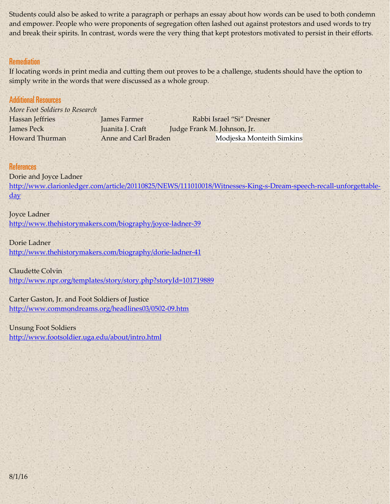Students could also be asked to write a paragraph or perhaps an essay about how words can be used to both condemn and empower. People who were proponents of segregation often lashed out against protestors and used words to try and break their spirits. In contrast, words were the very thing that kept protestors motivated to persist in their efforts.

## **Remediation**

If locating words in print media and cutting them out proves to be a challenge, students should have the option to simply write in the words that were discussed as a whole group.

## Additional Resources

*More Foot Soldiers to Research* Hassan Jeffries James Farmer Rabbi Israel "Si" Dresner James Peck Juanita J. Craft Judge Frank M. Johnson, Jr. Howard Thurman **Anne and Carl Braden** Modjeska Monteith Simkins

#### References

Dorie and Joyce Ladner [http://www.clarionledger.com/article/20110825/NEWS/111010018/Witnesses-King-s-Dream-speech-recall-unforgettable](http://www.clarionledger.com/article/20110825/NEWS/111010018/Witnesses-King-s-Dream-speech-recall-unforgettable-day)[day](http://www.clarionledger.com/article/20110825/NEWS/111010018/Witnesses-King-s-Dream-speech-recall-unforgettable-day)

#### Joyce Ladner

<http://www.thehistorymakers.com/biography/joyce-ladner-39>

#### Dorie Ladner

<http://www.thehistorymakers.com/biography/dorie-ladner-41>

#### Claudette Colvin

<http://www.npr.org/templates/story/story.php?storyId=101719889>

#### Carter Gaston, Jr. and Foot Soldiers of Justice

<http://www.commondreams.org/headlines03/0502-09.htm>

#### Unsung Foot Soldiers

<http://www.footsoldier.uga.edu/about/intro.html>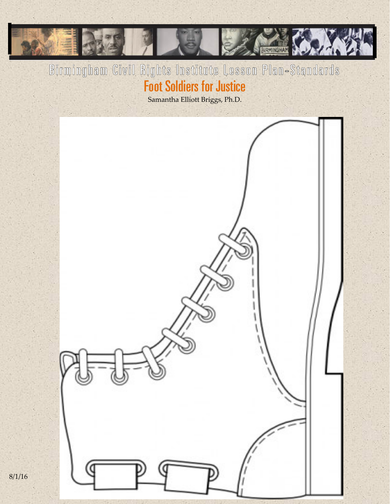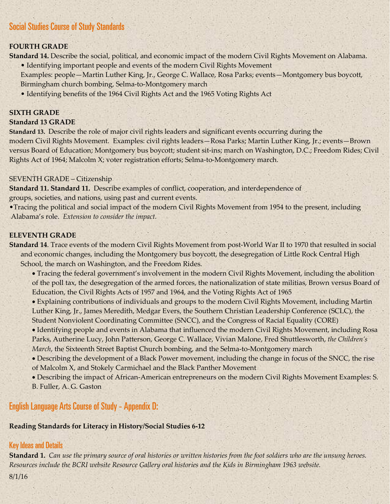# Social Studies Course of Study Standards

#### **FOURTH GRADE**

**Standard 14.** Describe the social, political, and economic impact of the modern Civil Rights Movement on Alabama.

- Identifying important people and events of the modern Civil Rights Movement Examples: people—Martin Luther King, Jr., George C. Wallace, Rosa Parks; events—Montgomery bus boycott, Birmingham church bombing, Selma-to-Montgomery march
- Identifying benefits of the 1964 Civil Rights Act and the 1965 Voting Rights Act

#### **SIXTH GRADE**

#### **Standard 13 GRADE**

**Standard 13.** Describe the role of major civil rights leaders and significant events occurring during the modern Civil Rights Movement. Examples: civil rights leaders—Rosa Parks; Martin Luther King, Jr.; events—Brown versus Board of Education; Montgomery bus boycott; student sit-ins; march on Washington, D.C.; Freedom Rides; Civil Rights Act of 1964; Malcolm X; voter registration efforts; Selma-to-Montgomery march.

#### SEVENTH GRADE – Citizenship

**Standard 11. Standard 11.** Describe examples of conflict, cooperation, and interdependence of groups, societies, and nations, using past and current events.

•Tracing the political and social impact of the modern Civil Rights Movement from 1954 to the present, including Alabama's role. *Extension to consider the impact.*

#### **ELEVENTH GRADE**

**Standard 14**. Trace events of the modern Civil Rights Movement from post-World War II to 1970 that resulted in social and economic changes, including the Montgomery bus boycott, the desegregation of Little Rock Central High School, the march on Washington, and the Freedom Rides.

• Tracing the federal government's involvement in the modern Civil Rights Movement, including the abolition of the poll tax, the desegregation of the armed forces, the nationalization of state militias, Brown versus Board of Education, the Civil Rights Acts of 1957 and 1964, and the Voting Rights Act of 1965

• Explaining contributions of individuals and groups to the modern Civil Rights Movement, including Martin Luther King, Jr., James Meredith, Medgar Evers, the Southern Christian Leadership Conference (SCLC), the Student Nonviolent Coordinating Committee (SNCC), and the Congress of Racial Equality (CORE)

• Identifying people and events in Alabama that influenced the modern Civil Rights Movement, including Rosa Parks, Autherine Lucy, John Patterson, George C. Wallace, Vivian Malone, Fred Shuttlesworth, *the Children's March*, the Sixteenth Street Baptist Church bombing, and the Selma-to-Montgomery march

• Describing the development of a Black Power movement, including the change in focus of the SNCC, the rise of Malcolm X, and Stokely Carmichael and the Black Panther Movement

• Describing the impact of African-American entrepreneurs on the modern Civil Rights Movement Examples: S. B. Fuller, A. G. Gaston

English Language Arts Course of Study - Appendix D:

#### **Reading Standards for Literacy in History/Social Studies 6-12**

#### Key Ideas and Details

**Standard 1.** *Can use the primary source of oral histories or written histories from the foot soldiers who are the unsung heroes. Resources include the BCRI website Resource Gallery oral histories and the Kids in Birmingham 1963 website.*